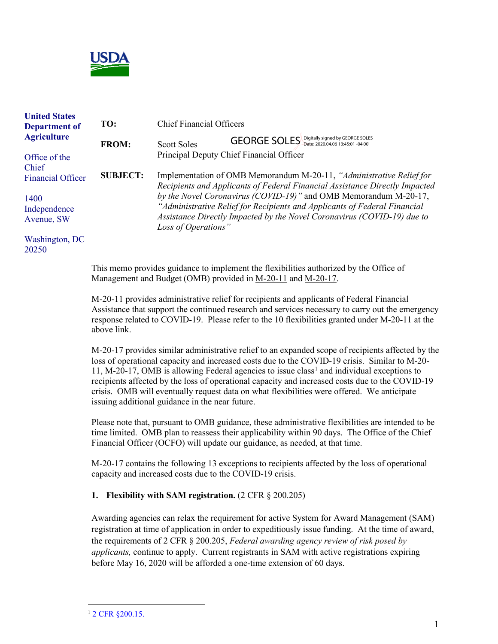

| <b>United States</b><br>Department of<br><b>Agriculture</b> | TO:                                                                                                                                                    | <b>Chief Financial Officers</b>                                                                                                                                                                                                                 |
|-------------------------------------------------------------|--------------------------------------------------------------------------------------------------------------------------------------------------------|-------------------------------------------------------------------------------------------------------------------------------------------------------------------------------------------------------------------------------------------------|
|                                                             | <b>FROM:</b>                                                                                                                                           | GEORGE SOLES Digitally signed by GEORGE SOLES<br><b>Scott Soles</b>                                                                                                                                                                             |
| Office of the<br>Chief                                      |                                                                                                                                                        | Principal Deputy Chief Financial Officer                                                                                                                                                                                                        |
| <b>Financial Officer</b>                                    | <b>SUBJECT:</b>                                                                                                                                        | Implementation of OMB Memorandum M-20-11, "Administrative Relief for<br>Recipients and Applicants of Federal Financial Assistance Directly Impacted                                                                                             |
| 1400<br>Independence<br>Avenue, SW                          |                                                                                                                                                        | by the Novel Coronavirus (COVID-19)" and OMB Memorandum M-20-17,<br>"Administrative Relief for Recipients and Applicants of Federal Financial<br>Assistance Directly Impacted by the Novel Coronavirus (COVID-19) due to<br>Loss of Operations" |
| Washington, DC<br>20250                                     |                                                                                                                                                        |                                                                                                                                                                                                                                                 |
|                                                             | This memo provides guidance to implement the flexibilities authorized by the Office of<br>Management and Budget (OMB) provided in M-20-11 and M-20-17. |                                                                                                                                                                                                                                                 |

M-20-11 provides administrative relief for recipients and applicants of Federal Financial Assistance that support the continued research and services necessary to carry out the emergency response related to COVID-19. Please refer to the 10 flexibilities granted under M-20-11 at the above link.

M-20-17 provides similar administrative relief to an expanded scope of recipients affected by the loss of operational capacity and increased costs due to the COVID-19 crisis. Similar to M-20-  $11, M-20-17$  $11, M-20-17$ , OMB is allowing Federal agencies to issue class<sup>1</sup> and individual exceptions to recipients affected by the loss of operational capacity and increased costs due to the COVID-19 crisis. OMB will eventually request data on what flexibilities were offered. We anticipate issuing additional guidance in the near future.

Please note that, pursuant to OMB guidance, these administrative flexibilities are intended to be time limited. OMB plan to reassess their applicability within 90 days. The Office of the Chief Financial Officer (OCFO) will update our guidance, as needed, at that time.

M-20-17 contains the following 13 exceptions to recipients affected by the loss of operational capacity and increased costs due to the COVID-19 crisis.

#### **1. Flexibility with SAM registration.** (2 CFR § 200.205)

Awarding agencies can relax the requirement for active System for Award Management (SAM) registration at time of application in order to expeditiously issue funding. At the time of award, the requirements of 2 CFR § 200.205, *Federal awarding agency review of risk posed by applicants,* continue to apply. Current registrants in SAM with active registrations expiring before May 16, 2020 will be afforded a one-time extension of 60 days.

<span id="page-0-0"></span><sup>&</sup>lt;sup>1</sup> [2 CFR §200.15.](https://www.ecfr.gov/cgi-bin/text-idx?SID=7094147bb842829163fccb350230d0f8&mc=true&node=pt2.1.200&rgn=div5#se2.1.200_115)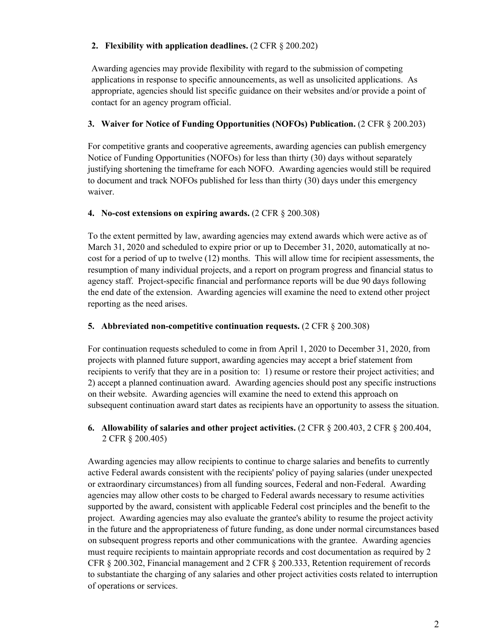### **2. Flexibility with application deadlines.** (2 CFR § 200.202)

Awarding agencies may provide flexibility with regard to the submission of competing applications in response to specific announcements, as well as unsolicited applications. As appropriate, agencies should list specific guidance on their websites and/or provide a point of contact for an agency program official.

### **3. Waiver for Notice of Funding Opportunities (NOFOs) Publication.** (2 CFR § 200.203)

For competitive grants and cooperative agreements, awarding agencies can publish emergency Notice of Funding Opportunities (NOFOs) for less than thirty (30) days without separately justifying shortening the timeframe for each NOFO. Awarding agencies would still be required to document and track NOFOs published for less than thirty (30) days under this emergency waiver.

#### **4. No-cost extensions on expiring awards.** (2 CFR § 200.308)

To the extent permitted by law, awarding agencies may extend awards which were active as of March 31, 2020 and scheduled to expire prior or up to December 31, 2020, automatically at nocost for a period of up to twelve (12) months. This will allow time for recipient assessments, the resumption of many individual projects, and a report on program progress and financial status to agency staff. Project-specific financial and performance reports will be due 90 days following the end date of the extension. Awarding agencies will examine the need to extend other project reporting as the need arises.

# **5.** Abbreviated non-competitive continuation requests. (2 CFR § 200.308)

For continuation requests scheduled to come in from April 1, 2020 to December 31, 2020, from projects with planned future support, awarding agencies may accept a brief statement from recipients to verify that they are in a position to: 1) resume or restore their project activities; and 2) accept a planned continuation award. Awarding agencies should post any specific instructions on their website. Awarding agencies will examine the need to extend this approach on subsequent continuation award start dates as recipients have an opportunity to assess the situation.

# **6. Allowability of salaries and other project activities.** (2 CFR § 200.403, 2 CFR § 200.404, 2 CFR § 200.405)

Awarding agencies may allow recipients to continue to charge salaries and benefits to currently active Federal awards consistent with the recipients' policy of paying salaries (under unexpected or extraordinary circumstances) from all funding sources, Federal and non-Federal. Awarding agencies may allow other costs to be charged to Federal awards necessary to resume activities supported by the award, consistent with applicable Federal cost principles and the benefit to the project. Awarding agencies may also evaluate the grantee's ability to resume the project activity in the future and the appropriateness of future funding, as done under normal circumstances based on subsequent progress reports and other communications with the grantee. Awarding agencies must require recipients to maintain appropriate records and cost documentation as required by 2 CFR § 200.302, Financial management and 2 CFR § 200.333, Retention requirement of records to substantiate the charging of any salaries and other project activities costs related to interruption of operations or services.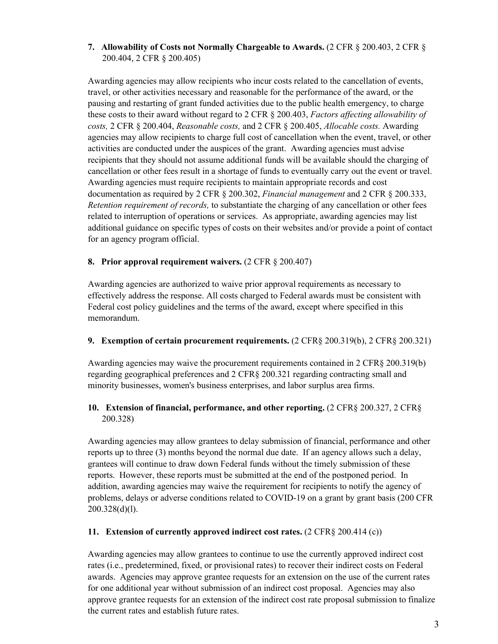# **7. Allowability of Costs not Normally Chargeable to Awards.** (2 CFR § 200.403, 2 CFR § 200.404, 2 CFR § 200.405)

Awarding agencies may allow recipients who incur costs related to the cancellation of events, travel, or other activities necessary and reasonable for the performance of the award, or the pausing and restarting of grant funded activities due to the public health emergency, to charge these costs to their award without regard to 2 CFR § 200.403, *Factors affecting allowability of costs,* 2 CFR § 200.404, *Reasonable costs,* and 2 CFR § 200.405, *Allocable costs.* Awarding agencies may allow recipients to charge full cost of cancellation when the event, travel, or other activities are conducted under the auspices of the grant. Awarding agencies must advise recipients that they should not assume additional funds will be available should the charging of cancellation or other fees result in a shortage of funds to eventually carry out the event or travel. Awarding agencies must require recipients to maintain appropriate records and cost documentation as required by 2 CFR § 200.302, *Financial management* and 2 CFR § 200.333, *Retention requirement of records,* to substantiate the charging of any cancellation or other fees related to interruption of operations or services. As appropriate, awarding agencies may list additional guidance on specific types of costs on their websites and/or provide a point of contact for an agency program official.

# **8. Prior approval requirement waivers.** (2 CFR § 200.407)

Awarding agencies are authorized to waive prior approval requirements as necessary to effectively address the response. All costs charged to Federal awards must be consistent with Federal cost policy guidelines and the terms of the award, except where specified in this memorandum.

#### **9. Exemption of certain procurement requirements.** (2 CFR§ 200.319(b), 2 CFR§ 200.321)

Awarding agencies may waive the procurement requirements contained in 2 CFR§ 200.319(b) regarding geographical preferences and 2 CFR§ 200.321 regarding contracting small and minority businesses, women's business enterprises, and labor surplus area firms.

# **10. Extension of financial, performance, and other reporting.**  $(2 \text{CFR} \& 200.327, 2 \text{CFR} \&$ 200.328)

Awarding agencies may allow grantees to delay submission of financial, performance and other reports up to three (3) months beyond the normal due date. If an agency allows such a delay, grantees will continue to draw down Federal funds without the timely submission of these reports. However, these reports must be submitted at the end of the postponed period. In addition, awarding agencies may waive the requirement for recipients to notify the agency of problems, delays or adverse conditions related to COVID-19 on a grant by grant basis (200 CFR 200.328(d)(l).

#### **11. Extension of currently approved indirect cost rates.** (2 CFR§ 200.414 (c))

Awarding agencies may allow grantees to continue to use the currently approved indirect cost rates (i.e., predetermined, fixed, or provisional rates) to recover their indirect costs on Federal awards. Agencies may approve grantee requests for an extension on the use of the current rates for one additional year without submission of an indirect cost proposal. Agencies may also approve grantee requests for an extension of the indirect cost rate proposal submission to finalize the current rates and establish future rates.